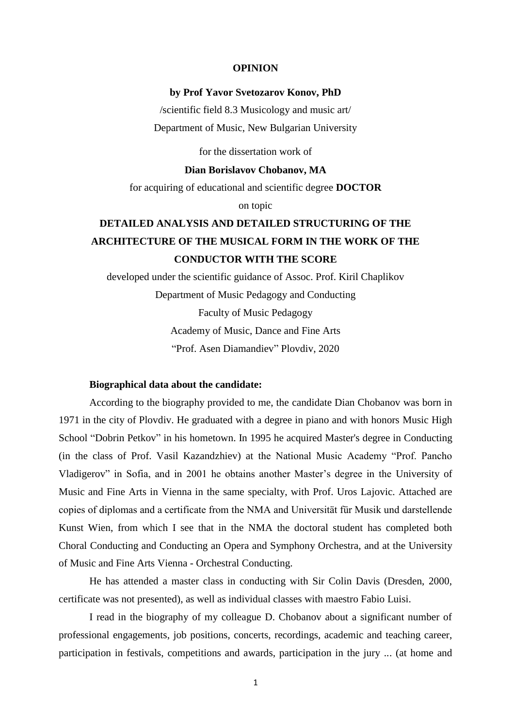#### **OPINION**

# **by Prof Yavor Svetozarov Konov, PhD**

/scientific field 8.3 Musicology and music art/ Department of Music, New Bulgarian University

for the dissertation work of

### **Dian Borislavov Chobanov, MA**

for acquiring of educational and scientific degree **DOCTOR**

on topic

# **DETAILED ANALYSIS AND DETAILED STRUCTURING OF THE ARCHITECTURE OF THE MUSICAL FORM IN THE WORK OF THE CONDUCTOR WITH THE SCORE**

developed under the scientific guidance of Assoc. Prof. Kiril Chaplikov Department of Music Pedagogy and Conducting Faculty of Music Pedagogy Academy of Music, Dance and Fine Arts "Prof. Asen Diamandiev" Plovdiv, 2020

# **Biographical data about the candidate:**

According to the biography provided to me, the candidate Dian Chobanov was born in 1971 in the city of Plovdiv. He graduated with a degree in piano and with honors Music High School "Dobrin Petkov" in his hometown. In 1995 he acquired Master's degree in Conducting (in the class of Prof. Vasil Kazandzhiev) at the National Music Academy "Prof. Pancho Vladigerov" in Sofia, and in 2001 he obtains another Master's degree in the University of Music and Fine Arts in Vienna in the same specialty, with Prof. Uros Lajovic. Attached are copies of diplomas and a certificate from the NMA and Universität für Musik und darstellende Kunst Wien, from which I see that in the NMA the doctoral student has completed both Choral Conducting and Conducting an Opera and Symphony Orchestra, and at the University of Music and Fine Arts Vienna - Orchestral Conducting.

He has attended a master class in conducting with Sir Colin Davis (Dresden, 2000, certificate was not presented), as well as individual classes with maestro Fabio Luisi.

I read in the biography of my colleague D. Chobanov about a significant number of professional engagements, job positions, concerts, recordings, academic and teaching career, participation in festivals, competitions and awards, participation in the jury ... (at home and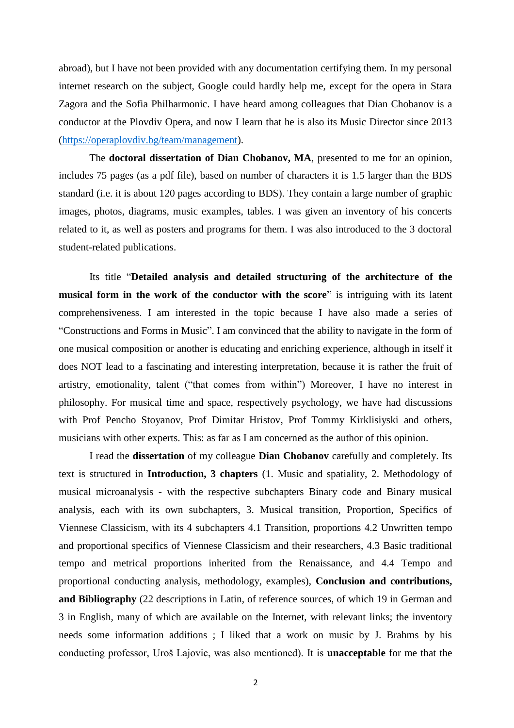abroad), but I have not been provided with any documentation certifying them. In my personal internet research on the subject, Google could hardly help me, except for the opera in Stara Zagora and the Sofia Philharmonic. I have heard among colleagues that Dian Chobanov is a conductor at the Plovdiv Opera, and now I learn that he is also its Music Director since 2013 [\(https://operaplovdiv.bg/team/management\)](https://operaplovdiv.bg/team/management).

The **doctoral dissertation of Dian Chobanov, MA**, presented to me for an opinion, includes 75 pages (as a pdf file), based on number of characters it is 1.5 larger than the BDS standard (i.e. it is about 120 pages according to BDS). They contain a large number of graphic images, photos, diagrams, music examples, tables. I was given an inventory of his concerts related to it, as well as posters and programs for them. I was also introduced to the 3 doctoral student-related publications.

Its title "**Detailed analysis and detailed structuring of the architecture of the musical form in the work of the conductor with the score**" is intriguing with its latent comprehensiveness. I am interested in the topic because I have also made a series of "Constructions and Forms in Music". I am convinced that the ability to navigate in the form of one musical composition or another is educating and enriching experience, although in itself it does NOT lead to a fascinating and interesting interpretation, because it is rather the fruit of artistry, emotionality, talent ("that comes from within") Moreover, I have no interest in philosophy. For musical time and space, respectively psychology, we have had discussions with Prof Pencho Stoyanov, Prof Dimitar Hristov, Prof Tommy Kirklisiyski and others, musicians with other experts. This: as far as I am concerned as the author of this opinion.

I read the **dissertation** of my colleague **Dian Chobanov** carefully and completely. Its text is structured in **Introduction, 3 chapters** (1. Music and spatiality, 2. Methodology of musical microanalysis - with the respective subchapters Binary code and Binary musical analysis, each with its own subchapters, 3. Musical transition, Proportion, Specifics of Viennese Classicism, with its 4 subchapters 4.1 Transition, proportions 4.2 Unwritten tempo and proportional specifics of Viennese Classicism and their researchers, 4.3 Basic traditional tempo and metrical proportions inherited from the Renaissance, and 4.4 Tempo and proportional conducting analysis, methodology, examples), **Conclusion and contributions, and Bibliography** (22 descriptions in Latin, of reference sources, of which 19 in German and 3 in English, many of which are available on the Internet, with relevant links; the inventory needs some information additions ; I liked that a work on music by J. Brahms by his conducting professor, Uroš Lajovic, was also mentioned). It is **unacceptable** for me that the